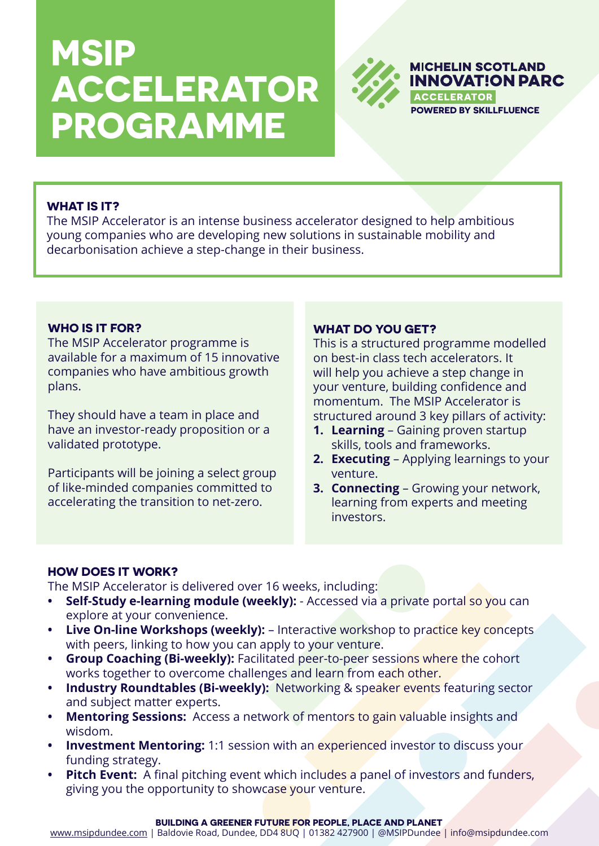# **MSIP ACCELERATOR PROGRAMME** POWERED BY SKILLFLUENCE



## **WHAT IS IT?**

The MSIP Accelerator is an intense business accelerator designed to help ambitious young companies who are developing new solutions in sustainable mobility and decarbonisation achieve a step-change in their business.

### **WHO IS IT FOR?**

The MSIP Accelerator programme is available for a maximum of 15 innovative companies who have ambitious growth plans.

They should have a team in place and have an investor-ready proposition or a validated prototype.

Participants will be joining a select group of like-minded companies committed to accelerating the transition to net-zero.

#### **WHAT DO YOU GET?**

This is a structured programme modelled on best-in class tech accelerators. It will help you achieve a step change in your venture, building confidence and momentum. The MSIP Accelerator is structured around 3 key pillars of activity:

- **1. Learning** Gaining proven startup skills, tools and frameworks.
- **2. Executing** Applying learnings to your venture.
- **3. Connecting** Growing your network, learning from experts and meeting investors.

## **HOW DOES IT WORK?**

The MSIP Accelerator is delivered over 16 weeks, including:

- **Self-Study e-learning module (weekly):** Accessed via a private portal so you can explore at your convenience.
- **• Live On-line Workshops (weekly):** Interactive workshop to practice key concepts with peers, linking to how you can apply to your venture.
- **• Group Coaching (Bi-weekly):** Facilitated peer-to-peer sessions where the cohort works together to overcome challenges and learn from each other.
- **• Industry Roundtables (Bi-weekly):** Networking & speaker events featuring sector and subject matter experts.
- **• Mentoring Sessions:** Access a network of mentors to gain valuable insights and wisdom.
- **• Investment Mentoring:** 1:1 session with an experienced investor to discuss your funding strategy.
- **• Pitch Event:** A final pitching event which includes a panel of investors and funders, giving you the opportunity to showcase your venture.

#### **BUILDING A GREENER FUTURE FOR PEOPLE, PLACE AND PLANET**

[www.msipdundee.com](https://www.msipdundee.com) | Baldovie Road, Dundee, DD4 8UQ | 01382 427900 | @MSIPDundee | info@msipdundee.com